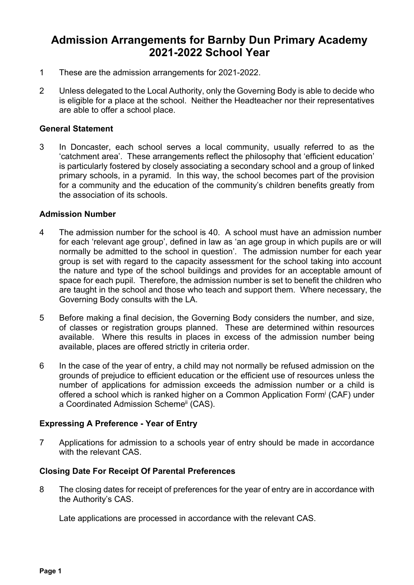# **Admission Arrangements for Barnby Dun Primary Academy 2021-2022 School Year**

- 1 These are the admission arrangements for 2021-2022.
- 2 Unless delegated to the Local Authority, only the Governing Body is able to decide who is eligible for a place at the school. Neither the Headteacher nor their representatives are able to offer a school place.

#### **General Statement**

3 In Doncaster, each school serves a local community, usually referred to as the 'catchment area'. These arrangements reflect the philosophy that 'efficient education' is particularly fostered by closely associating a secondary school and a group of linked primary schools, in a pyramid. In this way, the school becomes part of the provision for a community and the education of the community's children benefits greatly from the association of its schools.

#### **Admission Number**

- 4 The admission number for the school is 40. A school must have an admission number for each 'relevant age group', defined in law as 'an age group in which pupils are or will normally be admitted to the school in question'. The admission number for each year group is set with regard to the capacity assessment for the school taking into account the nature and type of the school buildings and provides for an acceptable amount of space for each pupil. Therefore, the admission number is set to benefit the children who are taught in the school and those who teach and support them. Where necessary, the Governing Body consults with the LA.
- 5 Before making a final decision, the Governing Body considers the number, and size, of classes or registration groups planned. These are determined within resources available. Where this results in places in excess of the admission number being available, places are offered strictly in criteria order.
- 6 In the case of the year of entry, a child may not normally be refused admission on the grounds of prejudice to efficient education or the efficient use of resources unless the number of applications for admission exceeds the admission number or a child is offered a school which is ranked higher on a Common Application Formi (CAF) under a Coordinated Admission Scheme<sup>ii</sup> (CAS).

# **Expressing A Preference - Year of Entry**

7 Applications for admission to a schools year of entry should be made in accordance with the relevant CAS.

# **Closing Date For Receipt Of Parental Preferences**

8 The closing dates for receipt of preferences for the year of entry are in accordance with the Authority's CAS.

Late applications are processed in accordance with the relevant CAS.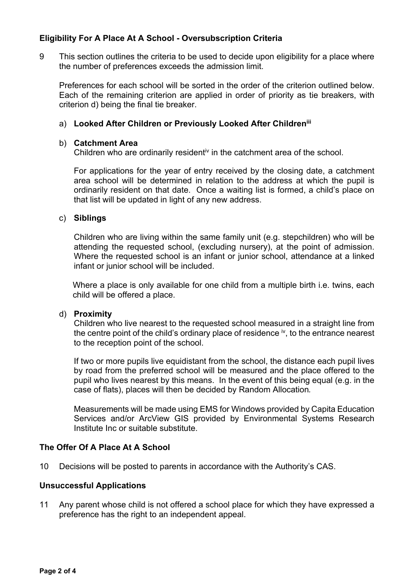# **Eligibility For A Place At A School - Oversubscription Criteria**

9 This section outlines the criteria to be used to decide upon eligibility for a place where the number of preferences exceeds the admission limit.

 Preferences for each school will be sorted in the order of the criterion outlined below. Each of the remaining criterion are applied in order of priority as tie breakers, with criterion d) being the final tie breaker.

# a) **Looked After Children or Previously Looked After Childreniii**

#### b) **Catchment Area**

Children who are ordinarily resident<sup>iv</sup> in the catchment area of the school.

For applications for the year of entry received by the closing date, a catchment area school will be determined in relation to the address at which the pupil is ordinarily resident on that date. Once a waiting list is formed, a child's place on that list will be updated in light of any new address.

#### c) **Siblings**

 Children who are living within the same family unit (e.g. stepchildren) who will be attending the requested school, (excluding nursery), at the point of admission. Where the requested school is an infant or junior school, attendance at a linked infant or junior school will be included.

Where a place is only available for one child from a multiple birth i.e. twins, each child will be offered a place.

#### d) **Proximity**

 Children who live nearest to the requested school measured in a straight line from the centre point of the child's ordinary place of residence  $\dot{v}$ , to the entrance nearest to the reception point of the school.

 If two or more pupils live equidistant from the school, the distance each pupil lives by road from the preferred school will be measured and the place offered to the pupil who lives nearest by this means. In the event of this being equal (e.g. in the case of flats), places will then be decided by Random Allocation*.*

 Measurements will be made using EMS for Windows provided by Capita Education Services and/or ArcView GIS provided by Environmental Systems Research Institute Inc or suitable substitute.

# **The Offer Of A Place At A School**

10 Decisions will be posted to parents in accordance with the Authority's CAS.

#### **Unsuccessful Applications**

11 Any parent whose child is not offered a school place for which they have expressed a preference has the right to an independent appeal.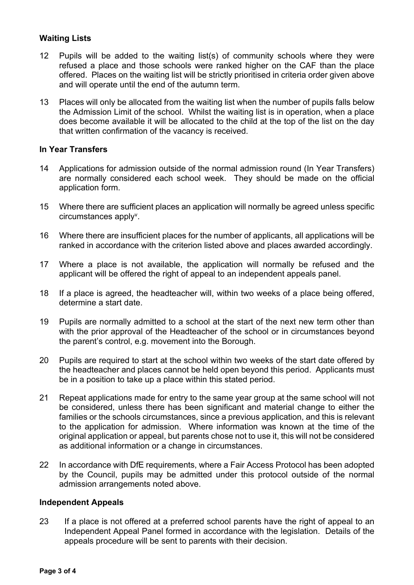# **Waiting Lists**

- 12 Pupils will be added to the waiting list(s) of community schools where they were refused a place and those schools were ranked higher on the CAF than the place offered. Places on the waiting list will be strictly prioritised in criteria order given above and will operate until the end of the autumn term.
- 13 Places will only be allocated from the waiting list when the number of pupils falls below the Admission Limit of the school. Whilst the waiting list is in operation, when a place does become available it will be allocated to the child at the top of the list on the day that written confirmation of the vacancy is received.

# **In Year Transfers**

- 14 Applications for admission outside of the normal admission round (In Year Transfers) are normally considered each school week. They should be made on the official application form.
- 15 Where there are sufficient places an application will normally be agreed unless specific  $circumstances$  apply $v$ .
- 16 Where there are insufficient places for the number of applicants, all applications will be ranked in accordance with the criterion listed above and places awarded accordingly.
- 17 Where a place is not available, the application will normally be refused and the applicant will be offered the right of appeal to an independent appeals panel.
- 18 If a place is agreed, the headteacher will, within two weeks of a place being offered, determine a start date.
- 19 Pupils are normally admitted to a school at the start of the next new term other than with the prior approval of the Headteacher of the school or in circumstances beyond the parent's control, e.g. movement into the Borough.
- 20 Pupils are required to start at the school within two weeks of the start date offered by the headteacher and places cannot be held open beyond this period. Applicants must be in a position to take up a place within this stated period.
- 21 Repeat applications made for entry to the same year group at the same school will not be considered, unless there has been significant and material change to either the families or the schools circumstances, since a previous application, and this is relevant to the application for admission. Where information was known at the time of the original application or appeal, but parents chose not to use it, this will not be considered as additional information or a change in circumstances.
- 22 In accordance with DfE requirements, where a Fair Access Protocol has been adopted by the Council, pupils may be admitted under this protocol outside of the normal admission arrangements noted above.

# **Independent Appeals**

23 If a place is not offered at a preferred school parents have the right of appeal to an Independent Appeal Panel formed in accordance with the legislation. Details of the appeals procedure will be sent to parents with their decision.